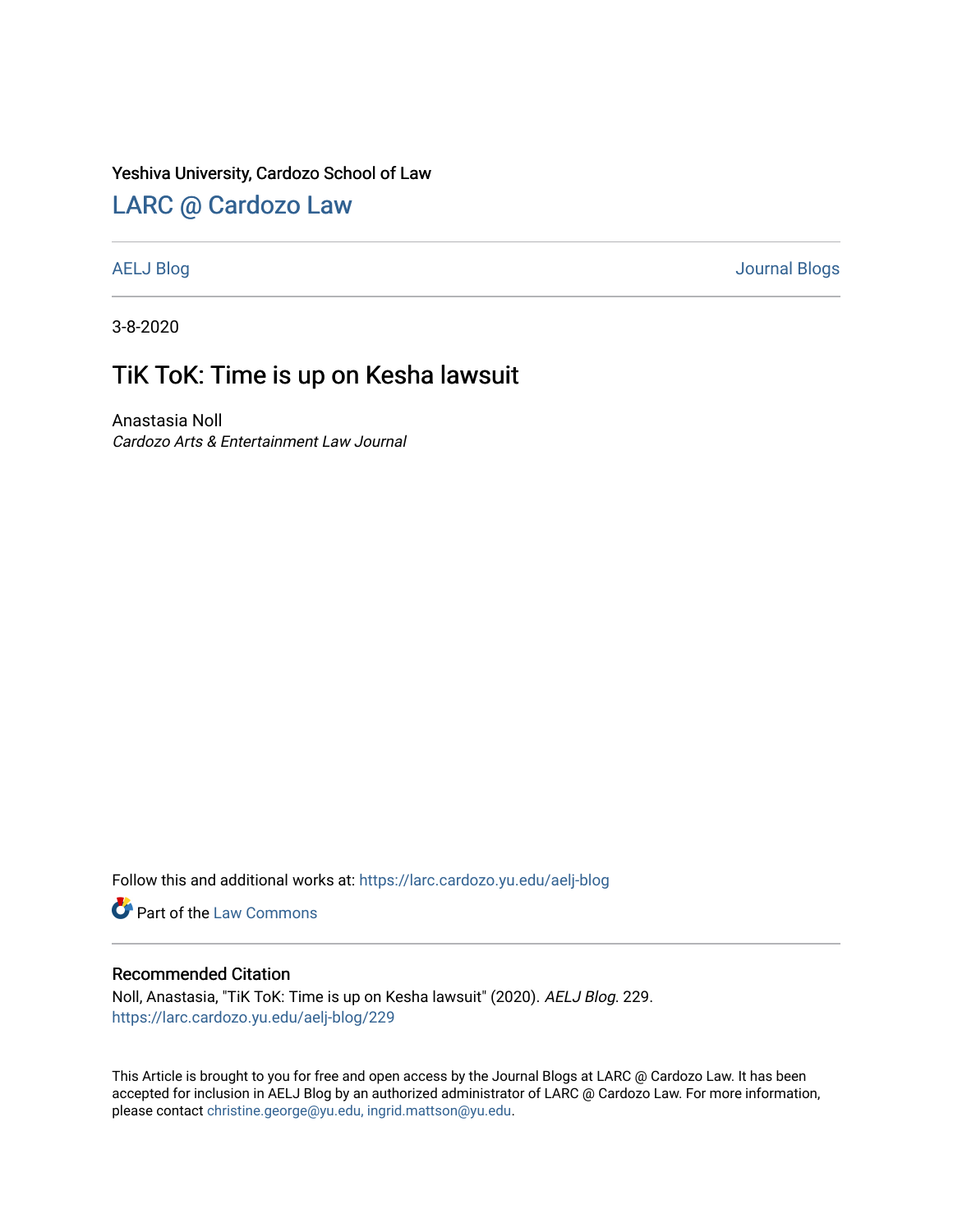### Yeshiva University, Cardozo School of Law

# [LARC @ Cardozo Law](https://larc.cardozo.yu.edu/)

[AELJ Blog](https://larc.cardozo.yu.edu/aelj-blog) [Journal Blogs](https://larc.cardozo.yu.edu/journal-blogs) 

3-8-2020

## TiK ToK: Time is up on Kesha lawsuit

Anastasia Noll Cardozo Arts & Entertainment Law Journal

Follow this and additional works at: [https://larc.cardozo.yu.edu/aelj-blog](https://larc.cardozo.yu.edu/aelj-blog?utm_source=larc.cardozo.yu.edu%2Faelj-blog%2F229&utm_medium=PDF&utm_campaign=PDFCoverPages) 

Part of the [Law Commons](http://network.bepress.com/hgg/discipline/578?utm_source=larc.cardozo.yu.edu%2Faelj-blog%2F229&utm_medium=PDF&utm_campaign=PDFCoverPages)

### Recommended Citation

Noll, Anastasia, "TiK ToK: Time is up on Kesha lawsuit" (2020). AELJ Blog. 229. [https://larc.cardozo.yu.edu/aelj-blog/229](https://larc.cardozo.yu.edu/aelj-blog/229?utm_source=larc.cardozo.yu.edu%2Faelj-blog%2F229&utm_medium=PDF&utm_campaign=PDFCoverPages) 

This Article is brought to you for free and open access by the Journal Blogs at LARC @ Cardozo Law. It has been accepted for inclusion in AELJ Blog by an authorized administrator of LARC @ Cardozo Law. For more information, please contact [christine.george@yu.edu, ingrid.mattson@yu.edu.](mailto:christine.george@yu.edu,%20ingrid.mattson@yu.edu)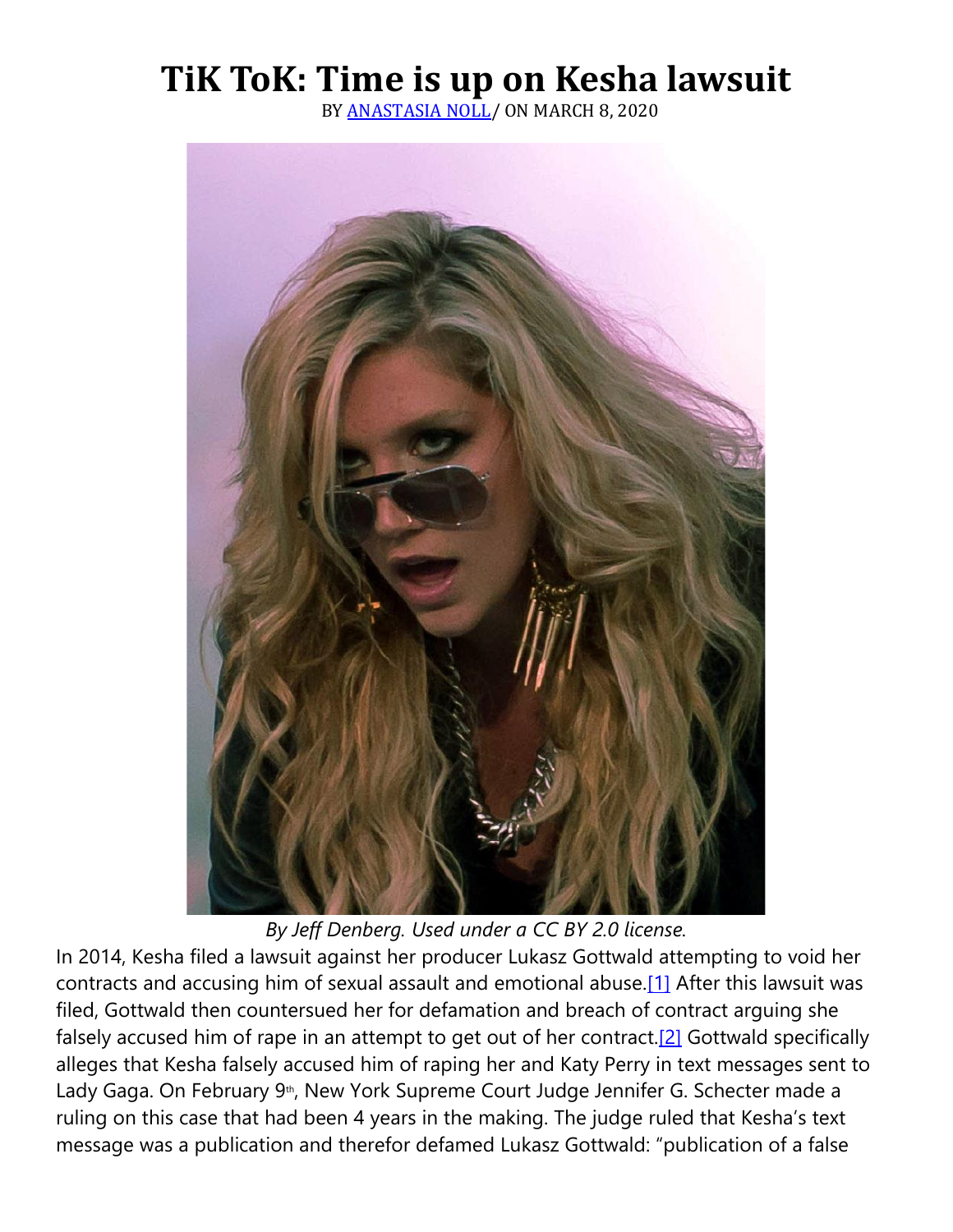# **TiK ToK: Time is up on Kesha lawsuit**

BY [ANASTASIA NOLL/](https://cardozoaelj.com/author/anastasia-noll/) ON MARCH 8, 2020



*By Jeff Denberg. Used under a CC BY 2.0 license.*

In 2014, Kesha filed a lawsuit against her producer Lukasz Gottwald attempting to void her contracts and accusing him of sexual assault and emotional abuse[.\[1\]](https://cardozoaelj.com/2020/03/08/tik-tok-time-is-up-on-kesha-lawsuit/#_ftn1) After this lawsuit was filed, Gottwald then countersued her for defamation and breach of contract arguing she falsely accused him of rape in an attempt to get out of her contract.<sup>[2]</sup> Gottwald specifically alleges that Kesha falsely accused him of raping her and Katy Perry in text messages sent to Lady Gaga. On February 9<sup>th</sup>, New York Supreme Court Judge Jennifer G. Schecter made a ruling on this case that had been 4 years in the making. The judge ruled that Kesha's text message was a publication and therefor defamed Lukasz Gottwald: "publication of a false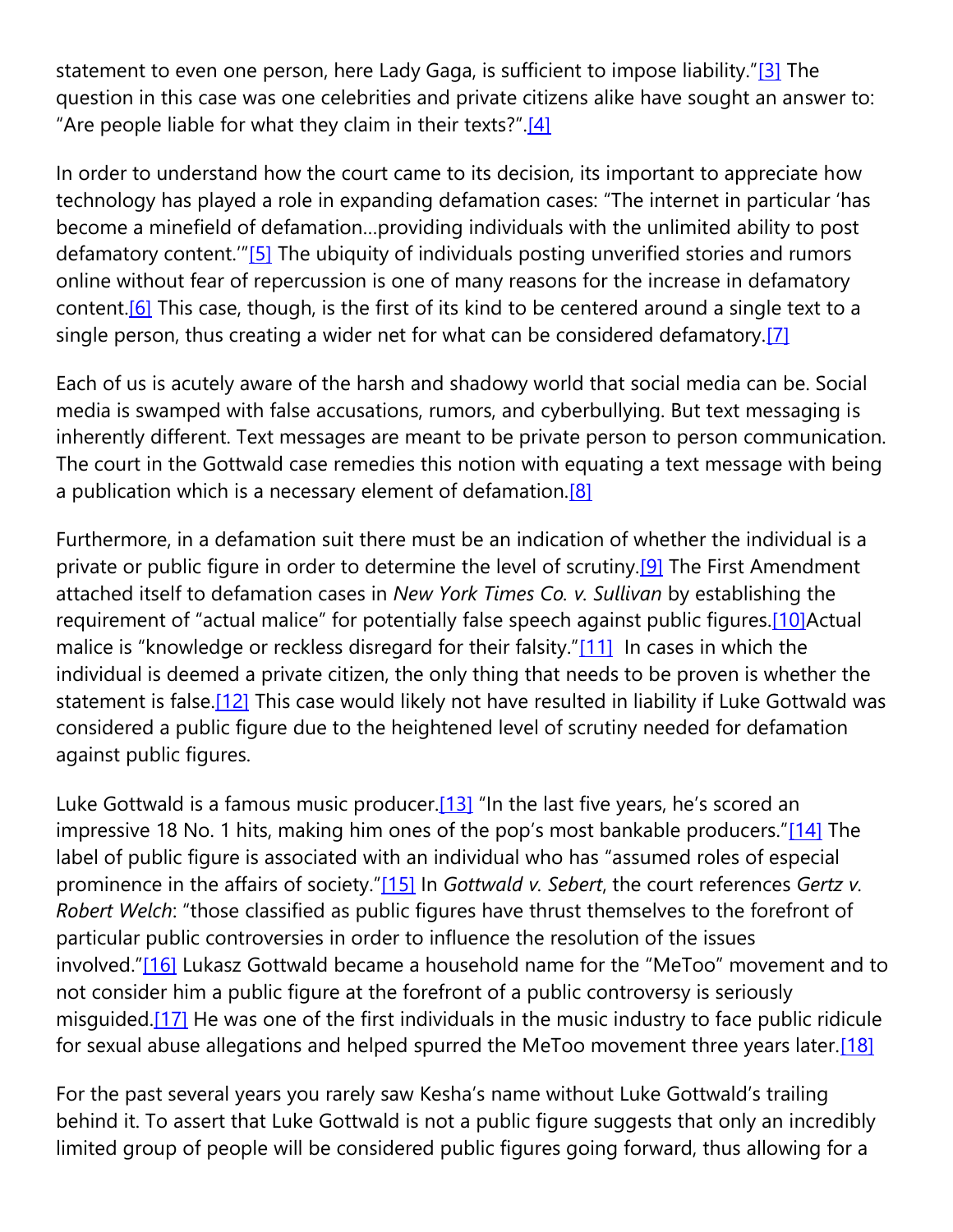statement to even one person, here Lady Gaga, is sufficient to impose liability."[\[3\]](https://cardozoaelj.com/2020/03/08/tik-tok-time-is-up-on-kesha-lawsuit/#_ftn3) The question in this case was one celebrities and private citizens alike have sought an answer to: "Are people liable for what they claim in their texts?". $[4]$ 

In order to understand how the court came to its decision, its important to appreciate how technology has played a role in expanding defamation cases: "The internet in particular 'has become a minefield of defamation…providing individuals with the unlimited ability to post defamatory content.<sup>"</sup>[\[5\]](https://cardozoaelj.com/2020/03/08/tik-tok-time-is-up-on-kesha-lawsuit/#_ftn5) The ubiquity of individuals posting unverified stories and rumors online without fear of repercussion is one of many reasons for the increase in defamatory content.<sup>[6]</sup> This case, though, is the first of its kind to be centered around a single text to a single person, thus creating a wider net for what can be considered defamatory[.\[7\]](https://cardozoaelj.com/2020/03/08/tik-tok-time-is-up-on-kesha-lawsuit/#_ftn7)

Each of us is acutely aware of the harsh and shadowy world that social media can be. Social media is swamped with false accusations, rumors, and cyberbullying. But text messaging is inherently different. Text messages are meant to be private person to person communication. The court in the Gottwald case remedies this notion with equating a text message with being a publication which is a necessary element of defamation.<sup>[8]</sup>

Furthermore, in a defamation suit there must be an indication of whether the individual is a private or public figure in order to determine the level of scrutiny.<sup>[9]</sup> The First Amendment attached itself to defamation cases in *New York Times Co. v. Sullivan* by establishing the requirement of "actual malice" for potentially false speech against public figures.<sup>[10]</sup>Actual malice is "knowledge or reckless disregard for their falsity."[\[11\]](https://cardozoaelj.com/2020/03/08/tik-tok-time-is-up-on-kesha-lawsuit/#_ftn11) In cases in which the individual is deemed a private citizen, the only thing that needs to be proven is whether the statement is false[.\[12\]](https://cardozoaelj.com/2020/03/08/tik-tok-time-is-up-on-kesha-lawsuit/#_ftn12) This case would likely not have resulted in liability if Luke Gottwald was considered a public figure due to the heightened level of scrutiny needed for defamation against public figures.

Luke Gottwald is a famous music producer. $[13]$  "In the last five years, he's scored an impressive 18 No. 1 hits, making him ones of the pop's most bankable producers."[\[14\]](https://cardozoaelj.com/2020/03/08/tik-tok-time-is-up-on-kesha-lawsuit/#_ftn14) The label of public figure is associated with an individual who has "assumed roles of especial prominence in the affairs of society."[\[15\]](https://cardozoaelj.com/2020/03/08/tik-tok-time-is-up-on-kesha-lawsuit/#_ftn15) In *Gottwald v. Sebert*, the court references *Gertz v. Robert Welch*: "those classified as public figures have thrust themselves to the forefront of particular public controversies in order to influence the resolution of the issues involved."[\[16\]](https://cardozoaelj.com/2020/03/08/tik-tok-time-is-up-on-kesha-lawsuit/#_ftn16) Lukasz Gottwald became a household name for the "MeToo" movement and to not consider him a public figure at the forefront of a public controversy is seriously misguided[.\[17\]](https://cardozoaelj.com/2020/03/08/tik-tok-time-is-up-on-kesha-lawsuit/#_ftn17) He was one of the first individuals in the music industry to face public ridicule for sexual abuse allegations and helped spurred the MeToo movement three years later[.\[18\]](https://cardozoaelj.com/2020/03/08/tik-tok-time-is-up-on-kesha-lawsuit/#_ftn18)

For the past several years you rarely saw Kesha's name without Luke Gottwald's trailing behind it. To assert that Luke Gottwald is not a public figure suggests that only an incredibly limited group of people will be considered public figures going forward, thus allowing for a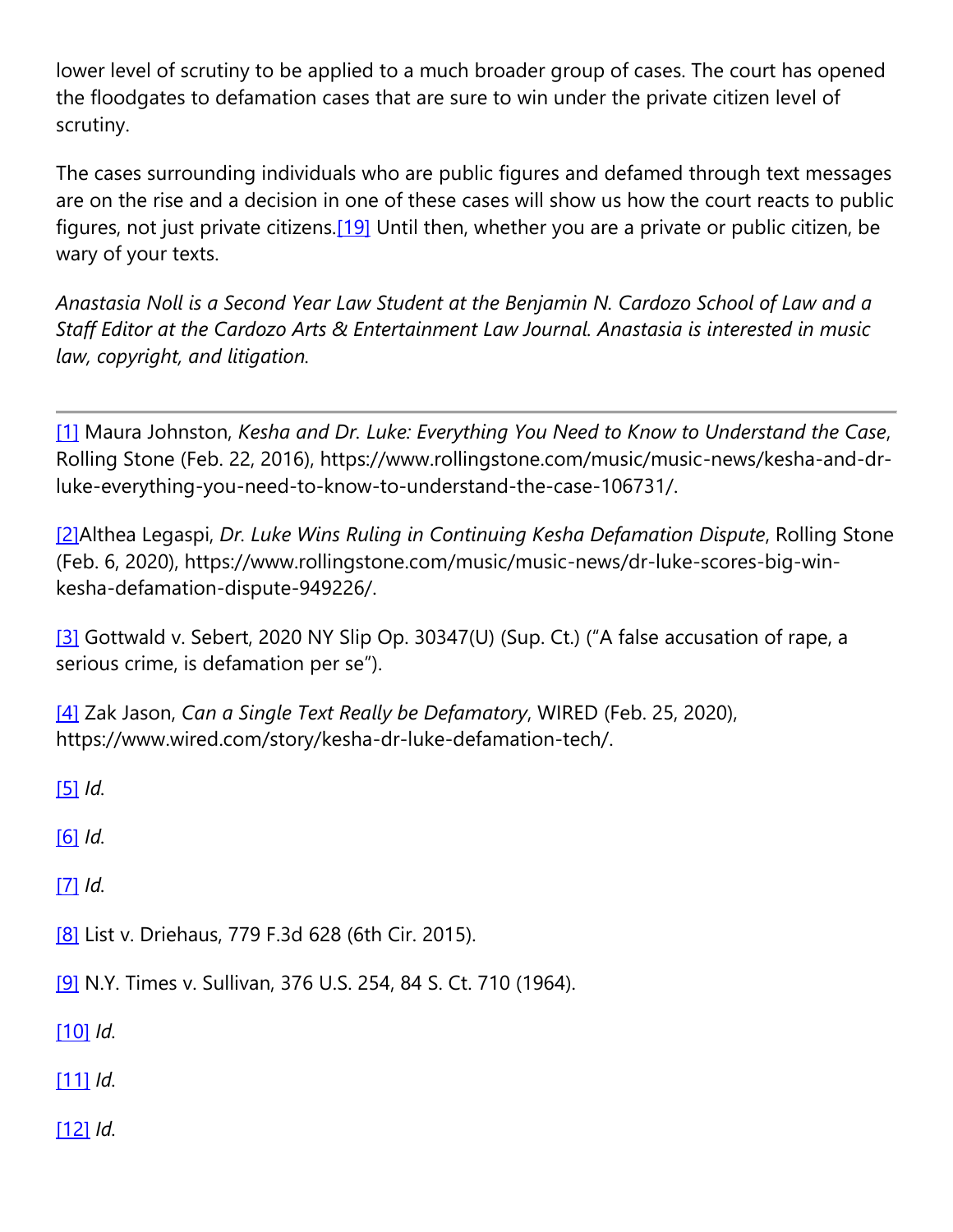lower level of scrutiny to be applied to a much broader group of cases. The court has opened the floodgates to defamation cases that are sure to win under the private citizen level of scrutiny.

The cases surrounding individuals who are public figures and defamed through text messages are on the rise and a decision in one of these cases will show us how the court reacts to public figures, not just private citizens.<sup>[19]</sup> Until then, whether you are a private or public citizen, be wary of your texts.

*Anastasia Noll is a Second Year Law Student at the Benjamin N. Cardozo School of Law and a Staff Editor at the Cardozo Arts & Entertainment Law Journal. Anastasia is interested in music law, copyright, and litigation.*

[\[1\]](https://cardozoaelj.com/2020/03/08/tik-tok-time-is-up-on-kesha-lawsuit/#_ftnref1) Maura Johnston, *Kesha and Dr. Luke: Everything You Need to Know to Understand the Case*, Rolling Stone (Feb. 22, 2016), https://www.rollingstone.com/music/music-news/kesha-and-drluke-everything-you-need-to-know-to-understand-the-case-106731/.

[\[2\]A](https://cardozoaelj.com/2020/03/08/tik-tok-time-is-up-on-kesha-lawsuit/#_ftnref2)lthea Legaspi, *Dr. Luke Wins Ruling in Continuing Kesha Defamation Dispute*, Rolling Stone (Feb. 6, 2020), https://www.rollingstone.com/music/music-news/dr-luke-scores-big-winkesha-defamation-dispute-949226/.

[\[3\]](https://cardozoaelj.com/2020/03/08/tik-tok-time-is-up-on-kesha-lawsuit/#_ftnref3) Gottwald v. Sebert, 2020 NY Slip Op. 30347(U) (Sup. Ct.) ("A false accusation of rape, a serious crime, is defamation per se").

[\[4\]](https://cardozoaelj.com/2020/03/08/tik-tok-time-is-up-on-kesha-lawsuit/#_ftnref4) Zak Jason, *Can a Single Text Really be Defamatory*, WIRED (Feb. 25, 2020), https://www.wired.com/story/kesha-dr-luke-defamation-tech/.

[\[5\]](https://cardozoaelj.com/2020/03/08/tik-tok-time-is-up-on-kesha-lawsuit/#_ftnref5) *Id.*

[\[6\]](https://cardozoaelj.com/2020/03/08/tik-tok-time-is-up-on-kesha-lawsuit/#_ftnref6) *Id.*

[\[7\]](https://cardozoaelj.com/2020/03/08/tik-tok-time-is-up-on-kesha-lawsuit/#_ftnref7) *Id.*

[\[8\]](https://cardozoaelj.com/2020/03/08/tik-tok-time-is-up-on-kesha-lawsuit/#_ftnref8) List v. Driehaus, 779 F.3d 628 (6th Cir. 2015).

[\[9\]](https://cardozoaelj.com/2020/03/08/tik-tok-time-is-up-on-kesha-lawsuit/#_ftnref9) N.Y. Times v. Sullivan, 376 U.S. 254, 84 S. Ct. 710 (1964).

[\[10\]](https://cardozoaelj.com/2020/03/08/tik-tok-time-is-up-on-kesha-lawsuit/#_ftnref10) *Id.*

[\[11\]](https://cardozoaelj.com/2020/03/08/tik-tok-time-is-up-on-kesha-lawsuit/#_ftnref11) *Id.*

[\[12\]](https://cardozoaelj.com/2020/03/08/tik-tok-time-is-up-on-kesha-lawsuit/#_ftnref12) *Id.*